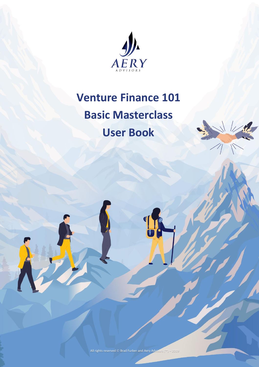

## **Venture Finance 101**

# **Basic Masterclass User Book**

All rights reserved © Brad Furber and Aery Advisors (™) – 2019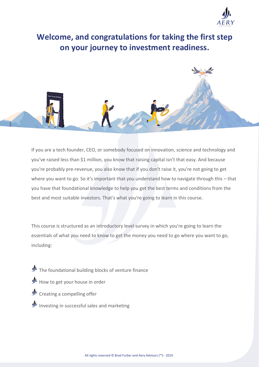

**Welcome, and congratulations for taking the first step on your journey to investment readiness.**

If you are a tech founder, CEO, or somebody focused on innovation, science and technology and you've raised less than \$1 million, you know that raising capital isn't that easy. And because you're probably pre-revenue, you also know that if you don't raise it, you're not going to get where you want to go. So it's important that you understand how to navigate through this – that you have that foundational knowledge to help you get the best terms and conditions from the best and most suitable investors. That's what you're going to learn in this course.

This course is structured as an introductory level survey in which you're going to learn the essentials of what you need to know to get the money you need to go where you want to go, including:

- $\mathcal{P}$  The foundational building blocks of venture finance
- $\mathcal{P}$  How to get your house in order
- **J** Creating a compelling offer
- Investing in successful sales and marketing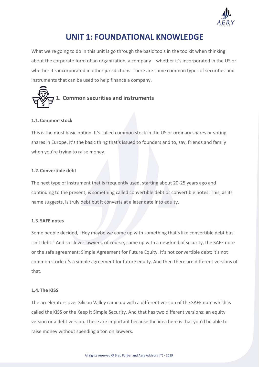

### **UNIT 1: FOUNDATIONAL KNOWLEDGE**

What we're going to do in this unit is go through the basic tools in the toolkit when thinking about the corporate form of an organization, a company – whether it's incorporated in the US or whether it's incorporated in other jurisdictions. There are some common types of securities and instruments that can be used to help finance a company.



### **1.1.Common stock**

This is the most basic option. It's called common stock in the US or ordinary shares or voting shares in Europe. It's the basic thing that's issued to founders and to, say, friends and family when you're trying to raise money.

### **1.2.Convertible debt**

The next type of instrument that is frequently used, starting about 20-25 years ago and continuing to the present, is something called convertible debt or convertible notes. This, as its name suggests, is truly debt but it converts at a later date into equity.

### **1.3.SAFE notes**

Some people decided, "Hey maybe we come up with something that's like convertible debt but isn't debt." And so clever lawyers, of course, came up with a new kind of security, the SAFE note or the safe agreement: Simple Agreement for Future Equity. It's not convertible debt; it's not common stock; it's a simple agreement for future equity. And then there are different versions of that.

### **1.4.The KISS**

The accelerators over Silicon Valley came up with a different version of the SAFE note which is called the KISS or the Keep it Simple Security. And that has two different versions: an equity version or a debt version. These are important because the idea here is that you'd be able to raise money without spending a ton on lawyers.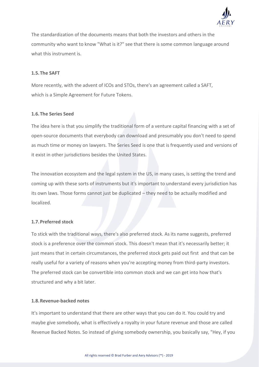

The standardization of the documents means that both the investors and others in the community who want to know "What is it?" see that there is some common language around what this instrument is.

### **1.5.The SAFT**

More recently, with the advent of ICOs and STOs, there's an agreement called a SAFT, which is a Simple Agreement for Future Tokens.

### **1.6.The Series Seed**

The idea here is that you simplify the traditional form of a venture capital financing with a set of open-source documents that everybody can download and presumably you don't need to spend as much time or money on lawyers. The Series Seed is one that is frequently used and versions of it exist in other jurisdictions besides the United States.

The innovation ecosystem and the legal system in the US, in many cases, is setting the trend and coming up with these sorts of instruments but it's important to understand every jurisdiction has its own laws. Those forms cannot just be duplicated – they need to be actually modified and localized.

### **1.7.Preferred stock**

To stick with the traditional ways, there's also preferred stock. As its name suggests, preferred stock is a preference over the common stock. This doesn't mean that it's necessarily better; it just means that in certain circumstances, the preferred stock gets paid out first and that can be really useful for a variety of reasons when you're accepting money from third-party investors. The preferred stock can be convertible into common stock and we can get into how that's structured and why a bit later.

### **1.8.Revenue-backed notes**

It's important to understand that there are other ways that you can do it. You could try and maybe give somebody, what is effectively a royalty in your future revenue and those are called Revenue Backed Notes. So instead of giving somebody ownership, you basically say, "Hey, if you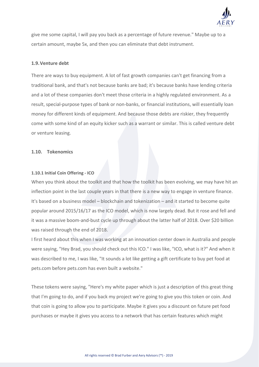

give me some capital, I will pay you back as a percentage of future revenue." Maybe up to a certain amount, maybe 5x, and then you can eliminate that debt instrument.

#### **1.9.Venture debt**

There are ways to buy equipment. A lot of fast growth companies can't get financing from a traditional bank, and that's not because banks are bad; it's because banks have lending criteria and a lot of these companies don't meet those criteria in a highly regulated environment. As a result, special-purpose types of bank or non-banks, or financial institutions, will essentially loan money for different kinds of equipment. And because those debts are riskier, they frequently come with some kind of an equity kicker such as a warrant or similar. This is called venture debt or venture leasing.

#### **1.10. Tokenomics**

#### **1.10.1 Initial Coin Offering - ICO**

When you think about the toolkit and that how the toolkit has been evolving, we may have hit an inflection point in the last couple years in that there is a new way to engage in venture finance. It's based on a business model – blockchain and tokenization – and it started to become quite popular around 2015/16/17 as the ICO model, which is now largely dead. But it rose and fell and it was a massive boom-and-bust cycle up through about the latter half of 2018. Over \$20 billion was raised through the end of 2018.

I first heard about this when I was working at an innovation center down in Australia and people were saying, "Hey Brad, you should check out this ICO." I was like, "ICO, what is it?" And when it was described to me, I was like, "It sounds a lot like getting a gift certificate to buy pet food at pets.com before pets.com has even built a website."

These tokens were saying, "Here's my white paper which is just a description of this great thing that I'm going to do, and if you back my project we're going to give you this token or coin. And that coin is going to allow you to participate. Maybe it gives you a discount on future pet food purchases or maybe it gives you access to a network that has certain features which might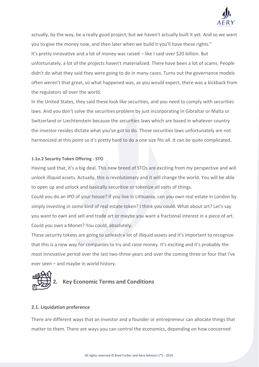

actually, by the way, be a really good project, but we haven't actually built it yet. And so we want you to give the money now, and then later when we build it you'll have these rights." It's pretty innovative and a lot of money was raised – like I said over \$20 billion. But unfortunately, a lot of the projects haven't materialized. There have been a lot of scams. People didn't do what they said they were going to do in many cases. Turns out the governance models often weren't that great, so what happened was, as you would expect, there was a kickback from the regulators all over the world.

In the United States, they said these look like securities, and you need to comply with securities laws. And you don't solve the securities problem by just incorporating in Gibraltar or Malta or Switzerland or Liechtenstein because the securities laws which are based in whatever country the investor resides dictate what you've got to do. Those securities laws unfortunately are not harmonized at this point so it's pretty hard to do a one size fits all. It can be quite complicated.

### **1.1o.2 Security Token Offering - STO**

Having said that, it's a big deal. This new breed of STOs are exciting from my perspective and will unlock illiquid assets. Actually, this is revolutionary and it will change the world. You will be able to open up and unlock and basically securitize or tokenize all sorts of things.

Could you do an IPO of your house? If you live in Lithuania, can you own real estate in London by simply investing in some kind of real estate token? I think you could. What about art? Let's say you want to own and sell and trade art or maybe you want a fractional interest in a piece of art. Could you own a Monet? You could, absolutely.

These security tokens are going to unleash a lot of illiquid assets and it's important to recognize that this is a new way for companies to try and raise money. It's exciting and it's probably the most innovative period over the last two-three years and over the coming three or four that I've ever seen – and maybe in world history.



### **2.1. Liquidation preference**

There are different ways that an investor and a founder or entrepreneur can allocate things that matter to them. There are ways you can control the economics, depending on how concerned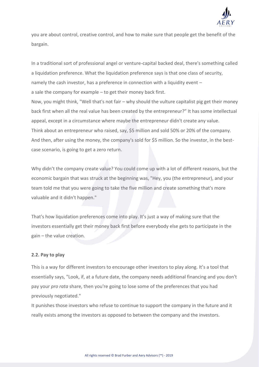

you are about control, creative control, and how to make sure that people get the benefit of the bargain.

In a traditional sort of professional angel or venture-capital backed deal, there's something called a liquidation preference. What the liquidation preference says is that one class of security, namely the cash investor, has a preference in connection with a liquidity event – a sale the company for example – to get their money back first. Now, you might think, "Well that's not fair – why should the vulture capitalist pig get their money back first when all the real value has been created by the entrepreneur?" It has some intellectual appeal, except in a circumstance where maybe the entrepreneur didn't create any value. Think about an entrepreneur who raised, say, \$5 million and sold 50% or 20% of the company. And then, after using the money, the company's sold for \$5 million. So the investor, in the bestcase scenario, is going to get a zero return.

Why didn't the company create value? You could come up with a lot of different reasons, but the economic bargain that was struck at the beginning was, "Hey, you (the entrepreneur), and your team told me that you were going to take the five million and create something that's more valuable and it didn't happen."

That's how liquidation preferences come into play. It's just a way of making sure that the investors essentially get their money back first before everybody else gets to participate in the gain – the value creation.

### **2.2. Pay to play**

This is a way for different investors to encourage other investors to play along. It's a tool that essentially says, "Look, if, at a future date, the company needs additional financing and you don't pay your *pro rata* share, then you're going to lose some of the preferences that you had previously negotiated."

It punishes those investors who refuse to continue to support the company in the future and it really exists among the investors as opposed to between the company and the investors.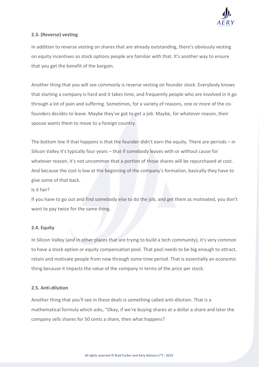

### **2.3. (Reverse) vesting**

In addition to reverse vesting on shares that are already outstanding, there's obviously vesting on equity incentives so stock options people are familiar with that. It's another way to ensure that you get the benefit of the bargain.

Another thing that you will see commonly is reverse vesting on founder stock. Everybody knows that starting a company is hard and it takes time, and frequently people who are involved in it go through a lot of pain and suffering. Sometimes, for a variety of reasons, one or more of the cofounders decides to leave. Maybe they've got to get a job. Maybe, for whatever reason, their spouse wants them to move to a foreign country.

The bottom line if that happens is that the founder didn't earn the equity. There are periods – in Silicon Valley it's typically four years – that if somebody leaves with or without cause for whatever reason, it's not uncommon that a portion of those shares will be repurchased at cost. And because the cost is low at the beginning of the company's formation, basically they have to give some of that back.

### Is it fair?

If you have to go out and find somebody else to do the job, and get them as motivated, you don't want to pay twice for the same thing.

### **2.4. Equity**

In Silicon Valley (and in other places that are trying to build a tech community), it's very common to have a stock option or equity compensation pool. That pool needs to be big enough to attract, retain and motivate people from now through some time period. That is essentially an economic thing because it impacts the value of the company in terms of the price per stock.

### **2.5. Anti-dilution**

Another thing that you'll see in these deals is something called anti-dilution. That is a mathematical formula which asks, "Okay, if we're buying shares at a dollar a share and later the company sells shares for 50 cents a share, then what happens?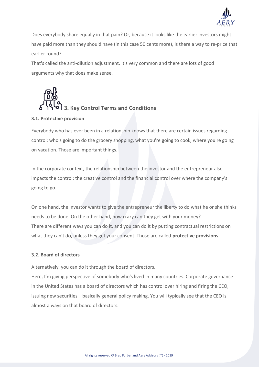

Does everybody share equally in that pain? Or, because it looks like the earlier investors might have paid more than they should have (in this case 50 cents more), is there a way to re-price that earlier round?

That's called the anti-dilution adjustment. It's very common and there are lots of good arguments why that does make sense.



### **3.1. Protective provision**

Everybody who has ever been in a relationship knows that there are certain issues regarding control: who's going to do the grocery shopping, what you're going to cook, where you're going on vacation. Those are important things.

In the corporate context, the relationship between the investor and the entrepreneur also impacts the control: the creative control and the financial control over where the company's going to go.

On one hand, the investor wants to give the entrepreneur the liberty to do what he or she thinks needs to be done. On the other hand, how crazy can they get with your money? There are different ways you can do it, and you can do it by putting contractual restrictions on what they can't do, unless they get your consent. Those are called **protective provisions**.

### **3.2. Board of directors**

Alternatively, you can do it through the board of directors.

Here, I'm giving perspective of somebody who's lived in many countries. Corporate governance in the United States has a board of directors which has control over hiring and firing the CEO, issuing new securities – basically general policy making. You will typically see that the CEO is almost always on that board of directors.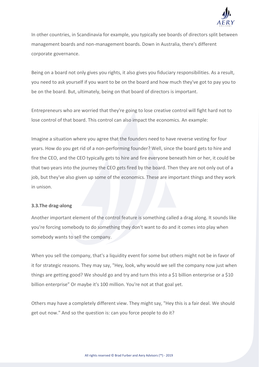

In other countries, in Scandinavia for example, you typically see boards of directors split between management boards and non-management boards. Down in Australia, there's different corporate governance.

Being on a board not only gives you rights, it also gives you fiduciary responsibilities. As a result, you need to ask yourself if you want to be on the board and how much they've got to pay you to be on the board. But, ultimately, being on that board of directors is important.

Entrepreneurs who are worried that they're going to lose creative control will fight hard not to lose control of that board. This control can also impact the economics. An example:

Imagine a situation where you agree that the founders need to have reverse vesting for four years. How do you get rid of a non-performing founder? Well, since the board gets to hire and fire the CEO, and the CEO typically gets to hire and fire everyone beneath him or her, it could be that two years into the journey the CEO gets fired by the board. Then they are not only out of a job, but they've also given up some of the economics. These are important things and they work in unison.

### **3.3.The drag-along**

Another important element of the control feature is something called a drag along. It sounds like you're forcing somebody to do something they don't want to do and it comes into play when somebody wants to sell the company.

When you sell the company, that's a liquidity event for some but others might not be in favor of it for strategic reasons. They may say, "Hey, look, why would we sell the company now just when things are getting good? We should go and try and turn this into a \$1 billion enterprise or a \$10 billion enterprise" Or maybe it's 100 million. You're not at that goal yet.

Others may have a completely different view. They might say, "Hey this is a fair deal. We should get out now." And so the question is: can you force people to do it?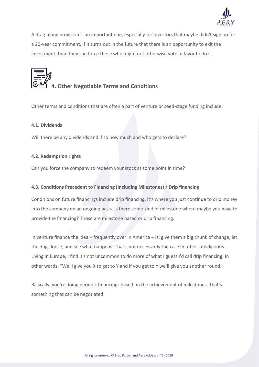

A drag-along provision is an important one, especially for investors that maybe didn't sign up for a 20-year commitment. If it turns out in the future that there is an opportunity to exit the investment, than they can force those who might not otherwise vote in favor to do it.



### **4. Other Negotiable Terms and Conditions**

Other terms and conditions that are often a part of venture or seed-stage funding include:

### **4.1. Dividends**

Will there be any dividends and if so how much and who gets to declare?

### **4.2. Redemption rights**

Can you force the company to redeem your stock at some point in time?

### **4.3. Conditions Precedent to Financing (Including Milestones) / Drip financing**

Conditions on future financings include drip financing. It's where you just continue to drip money into the company on an ongoing basis. Is there some kind of milestone where maybe you have to provide the financing? Those are milestone based or drip financing.

In venture finance the idea – frequently over in America – is: give them a big chunk of change, let the dogs loose, and see what happens. That's not necessarily the case in other jurisdictions. Living in Europe, I find it's not uncommon to do more of what I guess I'd call drip financing. In other words: "We'll give you X to get to Y and if you get to Y we'll give you another round."

Basically, you're doing periodic financings based on the achievement of milestones. That's something that can be negotiated.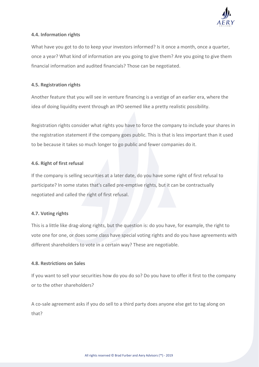

### **4.4. Information rights**

What have you got to do to keep your investors informed? Is it once a month, once a quarter, once a year? What kind of information are you going to give them? Are you going to give them financial information and audited financials? Those can be negotiated.

### **4.5. Registration rights**

Another feature that you will see in venture financing is a vestige of an earlier era, where the idea of doing liquidity event through an IPO seemed like a pretty realistic possibility.

Registration rights consider what rights you have to force the company to include your shares in the registration statement if the company goes public. This is that is less important than it used to be because it takes so much longer to go public and fewer companies do it.

### **4.6. Right of first refusal**

If the company is selling securities at a later date, do you have some right of first refusal to participate? In some states that's called pre-emptive rights, but it can be contractually negotiated and called the right of first refusal.

### **4.7. Voting rights**

This is a little like drag-along rights, but the question is: do you have, for example, the right to vote one for one, or does some class have special voting rights and do you have agreements with different shareholders to vote in a certain way? These are negotiable.

### **4.8. Restrictions on Sales**

If you want to sell your securities how do you do so? Do you have to offer it first to the company or to the other shareholders?

A co-sale agreement asks if you do sell to a third party does anyone else get to tag along on that?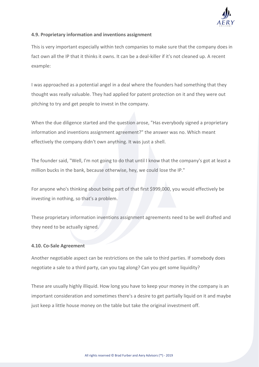

### **4.9. Proprietary information and inventions assignment**

This is very important especially within tech companies to make sure that the company does in fact own all the IP that it thinks it owns. It can be a deal-killer if it's not cleaned up. A recent example:

I was approached as a potential angel in a deal where the founders had something that they thought was really valuable. They had applied for patent protection on it and they were out pitching to try and get people to invest in the company.

When the due diligence started and the question arose, "Has everybody signed a proprietary information and inventions assignment agreement?" the answer was no. Which meant effectively the company didn't own anything. It was just a shell.

The founder said, "Well, I'm not going to do that until I know that the company's got at least a million bucks in the bank, because otherwise, hey, we could lose the IP."

For anyone who's thinking about being part of that first \$999,000, you would effectively be investing in nothing, so that's a problem.

These proprietary information inventions assignment agreements need to be well drafted and they need to be actually signed.

### **4.10. Co-Sale Agreement**

Another negotiable aspect can be restrictions on the sale to third parties. If somebody does negotiate a sale to a third party, can you tag along? Can you get some liquidity?

These are usually highly illiquid. How long you have to keep your money in the company is an important consideration and sometimes there's a desire to get partially liquid on it and maybe just keep a little house money on the table but take the original investment off.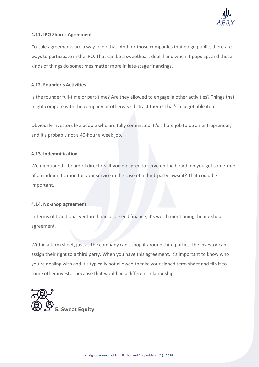

### **4.11. IPO Shares Agreement**

Co-sale agreements are a way to do that. And for those companies that do go public, there are ways to participate in the IPO. That can be a sweetheart deal if and when it pops up, and those kinds of things do sometimes matter more in late-stage financings.

### **4.12. Founder's Activities**

Is the founder full-time or part-time? Are they allowed to engage in other activities? Things that might compete with the company or otherwise distract them? That's a negotiable item.

Obviously investors like people who are fully committed. It's a hard job to be an entrepreneur, and it's probably not a 40-hour a week job.

### **4.13. Indemnification**

We mentioned a board of directors. If you do agree to serve on the board, do you get some kind of an indemnification for your service in the case of a third-party lawsuit? That could be important.

### **4.14. No-shop agreement**

In terms of traditional venture finance or seed finance, it's worth mentioning the no-shop agreement.

Within a term sheet, just as the company can't shop it around third parties, the investor can't assign their right to a third party. When you have this agreement, it's important to know who you're dealing with and it's typically not allowed to take your signed term sheet and flip it to some other investor because that would be a different relationship.

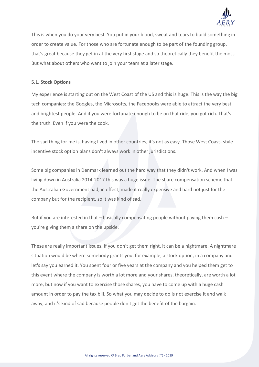

This is when you do your very best. You put in your blood, sweat and tears to build something in order to create value. For those who are fortunate enough to be part of the founding group, that's great because they get in at the very first stage and so theoretically they benefit the most. But what about others who want to join your team at a later stage.

### **5.1. Stock Options**

My experience is starting out on the West Coast of the US and this is huge. This is the way the big tech companies: the Googles, the Microsofts, the Facebooks were able to attract the very best and brightest people. And if you were fortunate enough to be on that ride, you got rich. That's the truth. Even if you were the cook.

The sad thing for me is, having lived in other countries, it's not as easy. Those West Coast- style incentive stock option plans don't always work in other jurisdictions.

Some big companies in Denmark learned out the hard way that they didn't work. And when I was living down in Australia 2014-2017 this was a huge issue. The share compensation scheme that the Australian Government had, in effect, made it really expensive and hard not just for the company but for the recipient, so it was kind of sad.

But if you are interested in that  $-$  basically compensating people without paying them cash  $$ you're giving them a share on the upside.

These are really important issues. If you don't get them right, it can be a nightmare. A nightmare situation would be where somebody grants you, for example, a stock option, in a company and let's say you earned it. You spent four or five years at the company and you helped them get to this event where the company is worth a lot more and your shares, theoretically, are worth a lot more, but now if you want to exercise those shares, you have to come up with a huge cash amount in order to pay the tax bill. So what you may decide to do is not exercise it and walk away, and it's kind of sad because people don't get the benefit of the bargain.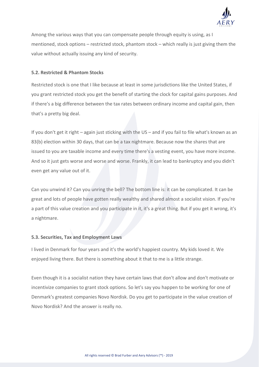

Among the various ways that you can compensate people through equity is using, as I mentioned, stock options – restricted stock, phantom stock – which really is just giving them the value without actually issuing any kind of security.

#### **5.2. Restricted & Phantom Stocks**

Restricted stock is one that I like because at least in some jurisdictions like the United States, if you grant restricted stock you get the benefit of starting the clock for capital gains purposes. And if there's a big difference between the tax rates between ordinary income and capital gain, then that's a pretty big deal.

If you don't get it right – again just sticking with the US – and if you fail to file what's known as an 83(b) election within 30 days, that can be a tax nightmare. Because now the shares that are issued to you are taxable income and every time there's a vesting event, you have more income. And so it just gets worse and worse and worse. Frankly, it can lead to bankruptcy and you didn't even get any value out of it.

Can you unwind it? Can you unring the bell? The bottom line is: it can be complicated. It can be great and lots of people have gotten really wealthy and shared almost a socialist vision. If you're a part of this value creation and you participate in it, it's a great thing. But if you get it wrong, it's a nightmare.

#### **5.3. Securities, Tax and Employment Laws**

I lived in Denmark for four years and it's the world's happiest country. My kids loved it. We enjoyed living there. But there is something about it that to me is a little strange.

Even though it is a socialist nation they have certain laws that don't allow and don't motivate or incentivize companies to grant stock options. So let's say you happen to be working for one of Denmark's greatest companies Novo Nordisk. Do you get to participate in the value creation of Novo Nordisk? And the answer is really no.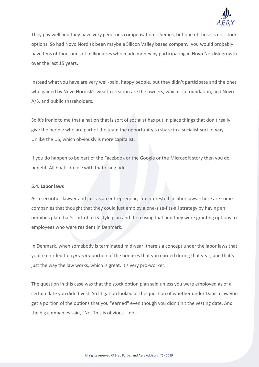

They pay well and they have very generous compensation schemes, but one of those is not stock options. So had Novo Nordisk been maybe a Silicon Valley based company, you would probably have tens of thousands of millionaires who made money by participating in Novo Nordisk growth over the last 15 years.

Instead what you have are very well-paid, happy people, but they didn't participate and the ones who gained by Novo Nordisk's wealth creation are the owners, which is a foundation, and Novo A/S, and public shareholders.

So it's ironic to me that a nation that is sort of socialist has put in place things that don't really give the people who are part of the team the opportunity to share in a socialist sort of way. Unlike the US, which obviously is more capitalist.

If you do happen to be part of the Facebook or the Google or the Microsoft story then you do benefit. All boats do rise with that rising tide.

### **5.4. Labor laws**

As a securities lawyer and just as an entrepreneur, I'm interested in labor laws. There are some companies that thought that they could just employ a one-size-fits-all strategy by having an omnibus plan that's sort of a US-style plan and then using that and they were granting options to employees who were resident in Denmark.

In Denmark, when somebody is terminated mid-year, there's a concept under the labor laws that you're entitled to a *pro rata* portion of the bonuses that you earned during that year, and that's just the way the law works, which is great. It's very pro-worker.

The question in this case was that the stock option plan said unless you were employed as of a certain date you didn't vest. So litigation looked at the question of whether under Danish law you get a portion of the options that you "earned" even though you didn't hit the vesting date. And the big companies said, "No. This is obvious – no."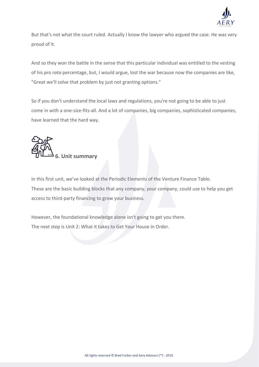

But that's not what the court ruled. Actually I know the lawyer who argued the case. He was very proud of it.

And so they won the battle in the sense that this particular individual was entitled to the vesting of his *pro rata* percentage, but, I would argue, lost the war because now the companies are like, "Great we'll solve that problem by just not granting options."

So if you don't understand the local laws and regulations, you're not going to be able to just come in with a one-size-fits-all. And a lot of companies, big companies, sophisticated companies, have learned that the hard way.



In this first unit, we've looked at the Periodic Elements of the Venture Finance Table. These are the basic building blocks that any company, your company, could use to help you get access to third-party financing to grow your business.

However, the foundational knowledge alone isn't going to get you there. The next step is Unit 2: What it takes to Get Your House in Order.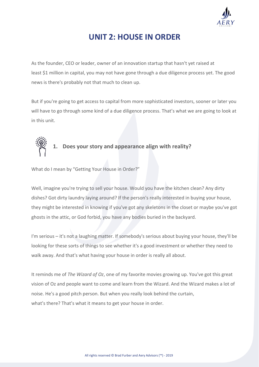

### **UNIT 2: HOUSE IN ORDER**

As the founder, CEO or leader, owner of an innovation startup that hasn't yet raised at least \$1 million in capital, you may not have gone through a due diligence process yet. The good news is there's probably not that much to clean up.

But if you're going to get access to capital from more sophisticated investors, sooner or later you will have to go through some kind of a due diligence process. That's what we are going to look at in this unit.



### **1. Does your story and appearance align with reality?**

What do I mean by "Getting Your House in Order?"

Well, imagine you're trying to sell your house. Would you have the kitchen clean? Any dirty dishes? Got dirty laundry laying around? If the person's really interested in buying your house, they might be interested in knowing if you've got any skeletons in the closet or maybe you've got ghosts in the attic, or God forbid, you have any bodies buried in the backyard.

I'm serious – it's not a laughing matter. If somebody's serious about buying your house, they'll be looking for these sorts of things to see whether it's a good investment or whether they need to walk away. And that's what having your house in order is really all about.

It reminds me of *The Wizard of Oz*, one of my favorite movies growing up. You've got this great vision of Oz and people want to come and learn from the Wizard. And the Wizard makes a lot of noise. He's a good pitch person. But when you really look behind the curtain, what's there? That's what it means to get your house in order.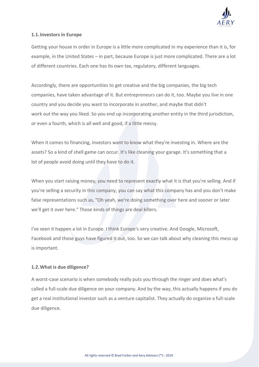

### **1.1.Investors in Europe**

Getting your house in order in Europe is a little more complicated in my experience than it is, for example, in the United States – in part, because Europe is just more complicated. There are a lot of different countries. Each one has its own tax, regulatory, different languages.

Accordingly, there are opportunities to get creative and the big companies, the big tech companies, have taken advantage of it. But entrepreneurs can do it, too. Maybe you live in one country and you decide you want to incorporate in another, and maybe that didn't work out the way you liked. So you end up incorporating another entity in the third jurisdiction, or even a fourth, which is all well and good, if a little messy.

When it comes to financing, investors want to know what they're investing in. Where are the assets? So a kind of shell game can occur. It's like cleaning your garage. It's something that a lot of people avoid doing until they have to do it.

When you start raising money, you need to represent exactly what it is that you're selling. And if you're selling a security in this company, you can say what this company has and you don't make false representations such as, "Oh yeah, we're doing something over here and sooner or later we'll get it over here." Those kinds of things are deal killers.

I've seen it happen a lot in Europe. I think Europe's very creative. And Google, Microsoft, Facebook and those guys have figured it out, too. So we can talk about why cleaning this mess up is important.

### **1.2.What is due diligence?**

A worst-case scenario is when somebody really puts you through the ringer and does what's called a full-scale due diligence on your company. And by the way, this actually happens if you do get a real institutional investor such as a venture capitalist. They actually do organize a full-scale due diligence.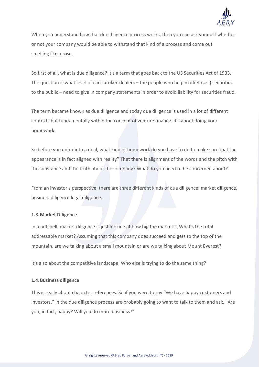

When you understand how that due diligence process works, then you can ask yourself whether or not your company would be able to withstand that kind of a process and come out smelling like a rose.

So first of all, what is due diligence? It's a term that goes back to the US Securities Act of 1933. The question is what level of care broker-dealers – the people who help market (sell) securities to the public – need to give in company statements in order to avoid liability for securities fraud.

The term became known as due diligence and today due diligence is used in a lot of different contexts but fundamentally within the concept of venture finance. It's about doing your homework.

So before you enter into a deal, what kind of homework do you have to do to make sure that the appearance is in fact aligned with reality? That there is alignment of the words and the pitch with the substance and the truth about the company? What do you need to be concerned about?

From an investor's perspective, there are three different kinds of due diligence: market diligence, business diligence legal diligence.

### **1.3.Market Diligence**

In a nutshell, market diligence is just looking at how big the market is.What's the total addressable market? Assuming that this company does succeed and gets to the top of the mountain, are we talking about a small mountain or are we talking about Mount Everest?

It's also about the competitive landscape. Who else is trying to do the same thing?

### **1.4.Business diligence**

This is really about character references. So if you were to say "We have happy customers and investors," in the due diligence process are probably going to want to talk to them and ask, "Are you, in fact, happy? Will you do more business?"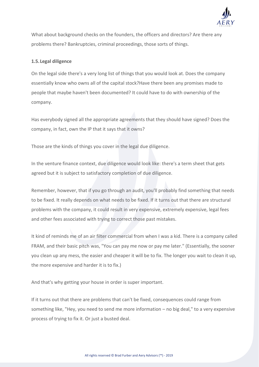

What about background checks on the founders, the officers and directors? Are there any problems there? Bankruptcies, criminal proceedings, those sorts of things.

### **1.5.Legal diligence**

On the legal side there's a very long list of things that you would look at. Does the company essentially know who owns all of the capital stock?Have there been any promises made to people that maybe haven't been documented? It could have to do with ownership of the company.

Has everybody signed all the appropriate agreements that they should have signed? Does the company, in fact, own the IP that it says that it owns?

Those are the kinds of things you cover in the legal due diligence.

In the venture finance context, due diligence would look like: there's a term sheet that gets agreed but it is subject to satisfactory completion of due diligence.

Remember, however, that if you go through an audit, you'll probably find something that needs to be fixed. It really depends on what needs to be fixed. If it turns out that there are structural problems with the company, it could result in very expensive, extremely expensive, legal fees and other fees associated with trying to correct those past mistakes.

It kind of reminds me of an air filter commercial from when I was a kid. There is a company called FRAM, and their basic pitch was, "You can pay me now or pay me later." (Essentially, the sooner you clean up any mess, the easier and cheaper it will be to fix. The longer you wait to clean it up, the more expensive and harder it is to fix.)

And that's why getting your house in order is super important.

If it turns out that there are problems that can't be fixed, consequences could range from something like, "Hey, you need to send me more information – no big deal," to a very expensive process of trying to fix it. Or just a busted deal.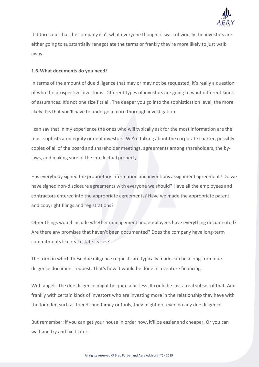

If it turns out that the company isn't what everyone thought it was, obviously the investors are either going to substantially renegotiate the terms or frankly they're more likely to just walk away.

### **1.6.What documents do you need?**

In terms of the amount of due diligence that may or may not be requested, it's really a question of who the prospective investor is. Different types of investors are going to want different kinds of assurances. It's not one size fits all. The deeper you go into the sophistication level, the more likely it is that you'll have to undergo a more thorough investigation.

I can say that in my experience the ones who will typically ask for the most information are the most sophisticated equity or debt investors. We're talking about the corporate charter, possibly copies of all of the board and shareholder meetings, agreements among shareholders, the bylaws, and making sure of the intellectual property.

Has everybody signed the proprietary information and inventions assignment agreement? Do we have signed non-disclosure agreements with everyone we should? Have all the employees and contractors entered into the appropriate agreements? Have we made the appropriate patent and copyright filings and registrations?

Other things would include whether management and employees have everything documented? Are there any promises that haven't been documented? Does the company have long-term commitments like real estate leases?

The form in which these due diligence requests are typically made can be a long-form due diligence document request. That's how it would be done in a venture financing.

With angels, the due diligence might be quite a bit less. It could be just a real subset of that. And frankly with certain kinds of investors who are investing more in the relationship they have with the founder, such as friends and family or fools, they might not even do any due diligence.

But remember: if you can get your house in order now, it'll be easier and cheaper. Or you can wait and try and fix it later.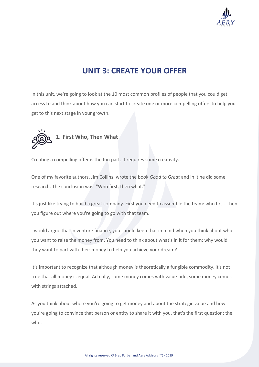

### **UNIT 3: CREATE YOUR OFFER**

In this unit, we're going to look at the 10 most common profiles of people that you could get access to and think about how you can start to create one or more compelling offers to help you get to this next stage in your growth.



Creating a compelling offer is the fun part. It requires some creativity.

One of my favorite authors, Jim Collins, wrote the book *Good to Great* and in it he did some research. The conclusion was: "Who first, then what."

It's just like trying to build a great company. First you need to assemble the team: who first. Then you figure out where you're going to go with that team.

I would argue that in venture finance, you should keep that in mind when you think about who you want to raise the money from. You need to think about what's in it for them: why would they want to part with their money to help you achieve your dream?

It's important to recognize that although money is theoretically a fungible commodity, it's not true that all money is equal. Actually, some money comes with value-add, some money comes with strings attached.

As you think about where you're going to get money and about the strategic value and how you're going to convince that person or entity to share it with you, that's the first question: the who.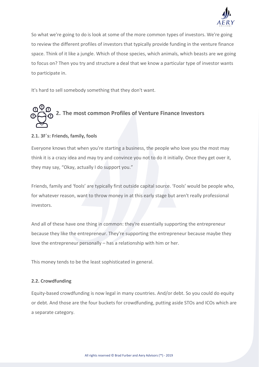

So what we're going to do is look at some of the more common types of investors. We're going to review the different profiles of investors that typically provide funding in the venture finance space. Think of it like a jungle. Which of those species, which animals, which beasts are we going to focus on? Then you try and structure a deal that we know a particular type of investor wants to participate in.

It's hard to sell somebody something that they don't want.

# **2. The most common Profiles of Venture Finance Investors**

### **2.1. 3F`s: Friends, family, fools**

Everyone knows that when you're starting a business, the people who love you the most may think it is a crazy idea and may try and convince you not to do it initially. Once they get over it, they may say, "Okay, actually I do support you."

Friends, family and 'fools' are typically first outside capital source. 'Fools' would be people who, for whatever reason, want to throw money in at this early stage but aren't really professional investors.

And all of these have one thing in common: they're essentially supporting the entrepreneur because they like the entrepreneur. They're supporting the entrepreneur because maybe they love the entrepreneur personally – has a relationship with him or her.

This money tends to be the least sophisticated in general.

### **2.2. Crowdfunding**

Equity-based crowdfunding is now legal in many countries. And/or debt. So you could do equity or debt. And those are the four buckets for crowdfunding, putting aside STOs and ICOs which are a separate category.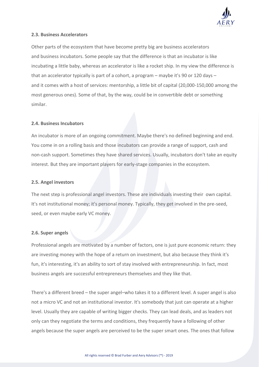

### **2.3. Business Accelerators**

Other parts of the ecosystem that have become pretty big are business accelerators and business incubators. Some people say that the difference is that an incubator is like incubating a little baby, whereas an accelerator is like a rocket ship. In my view the difference is that an accelerator typically is part of a cohort, a program – maybe it's 90 or 120 days – and it comes with a host of services: mentorship, a little bit of capital (20,000-150,000 among the most generous ones). Some of that, by the way, could be in convertible debt or something similar.

### **2.4. Business Incubators**

An incubator is more of an ongoing commitment. Maybe there's no defined beginning and end. You come in on a rolling basis and those incubators can provide a range of support, cash and non-cash support. Sometimes they have shared services. Usually, incubators don't take an equity interest. But they are important players for early-stage companies in the ecosystem.

### **2.5. Angel investors**

The next step is professional angel investors. These are individuals investing their own capital. It's not institutional money; it's personal money. Typically, they get involved in the pre-seed, seed, or even maybe early VC money.

### **2.6. Super angels**

Professional angels are motivated by a number of factors, one is just pure economic return: they are investing money with the hope of a return on investment, but also because they think it's fun, it's interesting, it's an ability to sort of stay involved with entrepreneurship. In fact, most business angels are successful entrepreneurs themselves and they like that.

There's a different breed – the super angel–who takes it to a different level. A super angel is also not a micro VC and not an institutional investor. It's somebody that just can operate at a higher level. Usually they are capable of writing bigger checks. They can lead deals, and as leaders not only can they negotiate the terms and conditions, they frequently have a following of other angels because the super angels are perceived to be the super smart ones. The ones that follow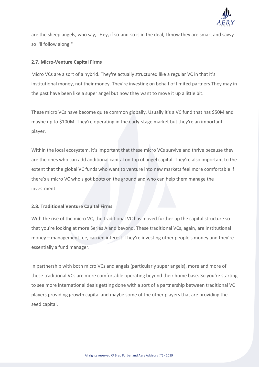

are the sheep angels, who say, "Hey, if so-and-so is in the deal, I know they are smart and savvy so I'll follow along."

### **2.7. Micro-Venture Capital Firms**

Micro VCs are a sort of a hybrid. They're actually structured like a regular VC in that it's institutional money, not their money. They're investing on behalf of limited partners.They may in the past have been like a super angel but now they want to move it up a little bit.

These micro VCs have become quite common globally. Usually it's a VC fund that has \$50M and maybe up to \$100M. They're operating in the early-stage market but they're an important player.

Within the local ecosystem, it's important that these micro VCs survive and thrive because they are the ones who can add additional capital on top of angel capital. They're also important to the extent that the global VC funds who want to venture into new markets feel more comfortable if there's a micro VC who's got boots on the ground and who can help them manage the investment.

### **2.8. Traditional Venture Capital Firms**

With the rise of the micro VC, the traditional VC has moved further up the capital structure so that you're looking at more Series A and beyond. These traditional VCs, again, are institutional money – management fee, carried interest. They're investing other people's money and they're essentially a fund manager.

In partnership with both micro VCs and angels (particularly super angels), more and more of these traditional VCs are more comfortable operating beyond their home base. So you're starting to see more international deals getting done with a sort of a partnership between traditional VC players providing growth capital and maybe some of the other players that are providing the seed capital.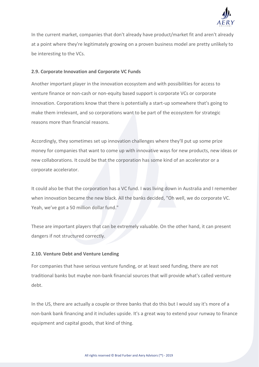

In the current market, companies that don't already have product/market fit and aren't already at a point where they're legitimately growing on a proven business model are pretty unlikely to be interesting to the VCs.

### **2.9. Corporate Innovation and Corporate VC Funds**

Another important player in the innovation ecosystem and with possibilities for access to venture finance or non-cash or non-equity based support is corporate VCs or corporate innovation. Corporations know that there is potentially a start-up somewhere that's going to make them irrelevant, and so corporations want to be part of the ecosystem for strategic reasons more than financial reasons.

Accordingly, they sometimes set up innovation challenges where they'll put up some prize money for companies that want to come up with innovative ways for new products, new ideas or new collaborations. It could be that the corporation has some kind of an accelerator or a corporate accelerator.

It could also be that the corporation has a VC fund. I was living down in Australia and I remember when innovation became the new black. All the banks decided, "Oh well, we do corporate VC. Yeah, we've got a 50 million dollar fund."

These are important players that can be extremely valuable. On the other hand, it can present dangers if not structured correctly.

### **2.10. Venture Debt and Venture Lending**

For companies that have serious venture funding, or at least seed funding, there are not traditional banks but maybe non-bank financial sources that will provide what's called venture debt.

In the US, there are actually a couple or three banks that do this but I would say it's more of a non-bank bank financing and it includes upside. It's a great way to extend your runway to finance equipment and capital goods, that kind of thing.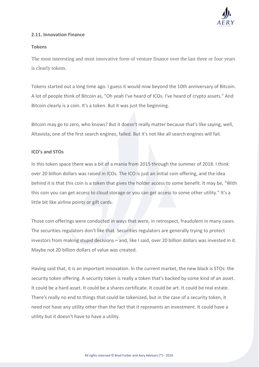

### **2.11. Innovation Finance**

### **Tokens**

The most interesting and most innovative form of venture finance over the last three or four years is clearly tokens.

Tokens started out a long time ago. I guess it would now beyond the 10th anniversary of Bitcoin. A lot of people think of Bitcoin as, "Oh yeah I've heard of ICOs. I've heard of crypto assets." And Bitcoin clearly is a coin. It's a token. But it was just the beginning.

Bitcoin may go to zero, who knows? But it doesn't really matter because that's like saying, well, Altavista, one of the first search engines, failed. But it's not like all search engines will fail.

### **ICO's and STOs**

In this token space there was a bit of a mania from 2015 through the summer of 2018. I think over 20 billion dollars was raised in ICOs. The ICO is just an initial coin offering, and the idea behind it is that this coin is a token that gives the holder access to some benefit. It may be, "With this coin you can get access to cloud storage or you can get access to some other utility." It's a little bit like airline points or gift cards.

Those coin offerings were conducted in ways that were, in retrospect, fraudulent in many cases. The securities regulators don't like that. Securities regulators are generally trying to protect investors from making stupid decisions – and, like I said, over 20 billion dollars was invested in it. Maybe not 20 billion dollars of value was created.

Having said that, it is an important innovation. In the current market, the new black is STOs: the security token offering. A security token is really a token that's backed by some kind of an asset. It could be a hard asset. It could be a shares certificate. It could be art. It could be real estate. There's really no end to things that could be tokenized, but in the case of a security token, it need not have any utility other than the fact that it represents an investment. It could have a utility but it doesn't have to have a utility.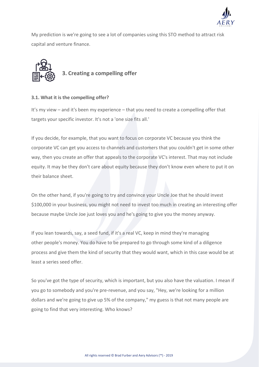

My prediction is we're going to see a lot of companies using this STO method to attract risk capital and venture finance.



### **3.1. What it is the compelling offer?**

It's my view – and it's been my experience – that you need to create a compelling offer that targets your specific investor. It's not a 'one size fits all.'

If you decide, for example, that you want to focus on corporate VC because you think the corporate VC can get you access to channels and customers that you couldn't get in some other way, then you create an offer that appeals to the corporate VC's interest. That may not include equity. It may be they don't care about equity because they don't know even where to put it on their balance sheet.

On the other hand, if you're going to try and convince your Uncle Joe that he should invest \$100,000 in your business, you might not need to invest too much in creating an interesting offer because maybe Uncle Joe just loves you and he's going to give you the money anyway.

If you lean towards, say, a seed fund, if it's a real VC, keep in mind they're managing other people's money. You do have to be prepared to go through some kind of a diligence process and give them the kind of security that they would want, which in this case would be at least a series seed offer.

So you've got the type of security, which is important, but you also have the valuation. I mean if you go to somebody and you're pre-revenue, and you say, "Hey, we're looking for a million dollars and we're going to give up 5% of the company," my guess is that not many people are going to find that very interesting. Who knows?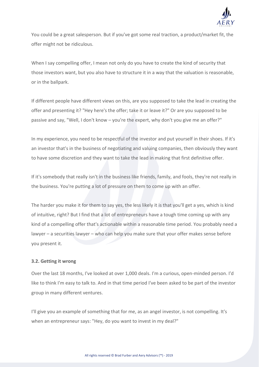

You could be a great salesperson. But if you've got some real traction, a product/market fit, the offer might not be ridiculous.

When I say compelling offer, I mean not only do you have to create the kind of security that those investors want, but you also have to structure it in a way that the valuation is reasonable, or in the ballpark.

If different people have different views on this, are you supposed to take the lead in creating the offer and presenting it? "Hey here's the offer; take it or leave it?" Or are you supposed to be passive and say, "Well, I don't know – you're the expert, why don't you give me an offer?"

In my experience, you need to be respectful of the investor and put yourself in their shoes. If it's an investor that's in the business of negotiating and valuing companies, then obviously they want to have some discretion and they want to take the lead in making that first definitive offer.

If it's somebody that really isn't in the business like friends, family, and fools, they're not really in the business. You're putting a lot of pressure on them to come up with an offer.

The harder you make it for them to say yes, the less likely it is that you'll get a yes, which is kind of intuitive, right? But I find that a lot of entrepreneurs have a tough time coming up with any kind of a compelling offer that's actionable within a reasonable time period. You probably need a lawyer – a securities lawyer – who can help you make sure that your offer makes sense before you present it.

### **3.2. Getting it wrong**

Over the last 18 months, I've looked at over 1,000 deals. I'm a curious, open-minded person. I'd like to think I'm easy to talk to. And in that time period I've been asked to be part of the investor group in many different ventures.

I'll give you an example of something that for me, as an angel investor, is not compelling. It's when an entrepreneur says: "Hey, do you want to invest in my deal?"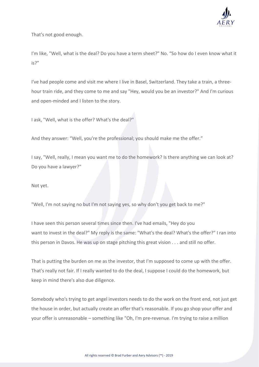

That's not good enough.

I'm like, "Well, what is the deal? Do you have a term sheet?" No. "So how do I even know what it is?"

I've had people come and visit me where I live in Basel, Switzerland. They take a train, a threehour train ride, and they come to me and say "Hey, would you be an investor?" And I'm curious and open-minded and I listen to the story.

I ask, "Well, what is the offer? What's the deal?"

And they answer: "Well, you're the professional; you should make me the offer."

I say, "Well, really, I mean you want me to do the homework? Is there anything we can look at? Do you have a lawyer?"

Not yet.

"Well, I'm not saying no but I'm not saying yes, so why don't you get back to me?"

I have seen this person several times since then. I've had emails, "Hey do you want to invest in the deal?" My reply is the same: "What's the deal? What's the offer?" I ran into this person in Davos. He was up on stage pitching this great vision . . . and still no offer.

That is putting the burden on me as the investor, that I'm supposed to come up with the offer. That's really not fair. If I really wanted to do the deal, I suppose I could do the homework, but keep in mind there's also due diligence.

Somebody who's trying to get angel investors needs to do the work on the front end, not just get the house in order, but actually create an offer that's reasonable. If you go shop your offer and your offer is unreasonable – something like "Oh, I'm pre-revenue. I'm trying to raise a million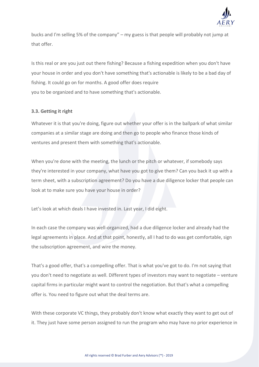

bucks and I'm selling 5% of the company" – my guess is that people will probably not jump at that offer.

Is this real or are you just out there fishing? Because a fishing expedition when you don't have your house in order and you don't have something that's actionable is likely to be a bad day of fishing. It could go on for months. A good offer does require you to be organized and to have something that's actionable.

### **3.3. Getting it right**

Whatever it is that you're doing, figure out whether your offer is in the ballpark of what similar companies at a similar stage are doing and then go to people who finance those kinds of ventures and present them with something that's actionable.

When you're done with the meeting, the lunch or the pitch or whatever, if somebody says they're interested in your company, what have you got to give them? Can you back it up with a term sheet, with a subscription agreement? Do you have a due diligence locker that people can look at to make sure you have your house in order?

Let's look at which deals I have invested in. Last year, I did eight.

In each case the company was well-organized, had a due diligence locker and already had the legal agreements in place. And at that point, honestly, all I had to do was get comfortable, sign the subscription agreement, and wire the money.

That's a good offer, that's a compelling offer. That is what you've got to do. I'm not saying that you don't need to negotiate as well. Different types of investors may want to negotiate – venture capital firms in particular might want to control the negotiation. But that's what a compelling offer is. You need to figure out what the deal terms are.

With these corporate VC things, they probably don't know what exactly they want to get out of it. They just have some person assigned to run the program who may have no prior experience in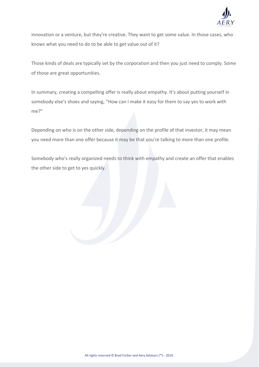

innovation or a venture, but they're creative. They want to get some value. In those cases, who knows what you need to do to be able to get value out of it?

Those kinds of deals are typically set by the corporation and then you just need to comply. Some of those are great opportunities.

In summary, creating a compelling offer is really about empathy. It's about putting yourself in somebody else's shoes and saying, "How can I make it easy for them to say yes to work with me?"

Depending on who is on the other side, depending on the profile of that investor, it may mean you need more than one offer because it may be that you're talking to more than one profile.

Somebody who's really organized needs to think with empathy and create an offer that enables the other side to get to yes quickly.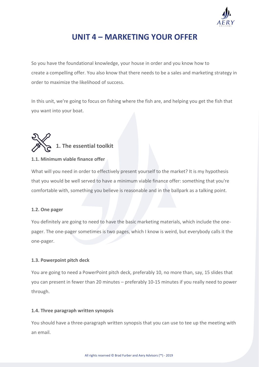

### **UNIT 4 – MARKETING YOUR OFFER**

So you have the foundational knowledge, your house in order and you know how to create a compelling offer. You also know that there needs to be a sales and marketing strategy in order to maximize the likelihood of success.

In this unit, we're going to focus on fishing where the fish are, and helping you get the fish that you want into your boat.



### **1.1. Minimum viable finance offer**

What will you need in order to effectively present yourself to the market? It is my hypothesis that you would be well served to have a minimum viable finance offer: something that you're comfortable with, something you believe is reasonable and in the ballpark as a talking point.

### **1.2. One pager**

You definitely are going to need to have the basic marketing materials, which include the onepager. The one-pager sometimes is two pages, which I know is weird, but everybody calls it the one-pager.

### **1.3. Powerpoint pitch deck**

You are going to need a PowerPoint pitch deck, preferably 10, no more than, say, 15 slides that you can present in fewer than 20 minutes – preferably 10-15 minutes if you really need to power through.

### **1.4. Three paragraph written synopsis**

You should have a three-paragraph written synopsis that you can use to tee up the meeting with an email.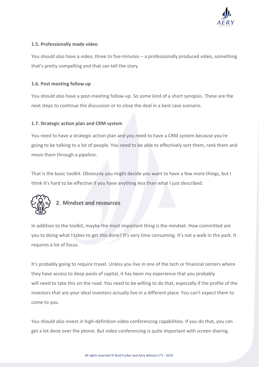

### **1.5. Professionally made video**

You should also have a video, three to five minutes – a professionally produced video, something that's pretty compelling and that can tell the story.

### **1.6. Post meeting follow up**

You should also have a post-meeting follow-up. So some kind of a short synopsis. These are the next steps to continue the discussion or to close the deal in a best case scenario.

### **1.7. Strategic action plan and CRM system**

You need to have a strategic action plan and you need to have a CRM system because you're going to be talking to a lot of people. You need to be able to effectively sort them, rank them and move them through a pipeline.

That is the basic toolkit. Obviously you might decide you want to have a few more things, but I think it's hard to be effective if you have anything less than what I just described.



### **2. Mindset and resources**

In addition to the toolkit, maybe the most important thing is the mindset. How committed are you to doing what I takes to get this done? It's very time consuming. It's not a walk in the park. It requires a lot of focus.

It's probably going to require travel. Unless you live in one of the tech or financial centers where they have access to deep pools of capital, it has been my experience that you probably will need to take this on the road. You need to be willing to do that, especially if the profile of the investors that are your ideal investors actually live in a different place. You can't expect them to come to you.

You should also invest in high-definition video conferencing capabilities. If you do that, you can get a lot done over the phone. But video conferencing is quite important with screen sharing.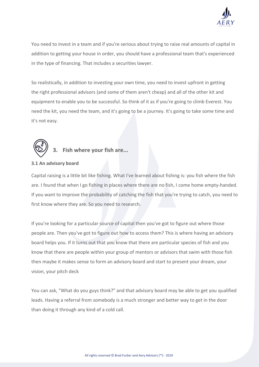

You need to invest in a team and if you're serious about trying to raise real amounts of capital in addition to getting your house in order, you should have a professional team that's experienced in the type of financing. That includes a securities lawyer.

So realistically, in addition to investing your own time, you need to invest upfront in getting the right professional advisors (and some of them aren't cheap) and all of the other kit and equipment to enable you to be successful. So think of it as if you're going to climb Everest. You need the kit, you need the team, and it's going to be a journey. It's going to take some time and it's not easy.



### **3. Fish where your fish are...**

### **3.1 An advisory board**

Capital raising is a little bit like fishing. What I've learned about fishing is: you fish where the fish are. I found that when I go fishing in places where there are no fish, I come home empty-handed. If you want to improve the probability of catching the fish that you're trying to catch, you need to first know where they are. So you need to research.

If you're looking for a particular source of capital then you've got to figure out where those people are. Then you've got to figure out how to access them? This is where having an advisory board helps you. If it turns out that you know that there are particular species of fish and you know that there are people within your group of mentors or advisors that swim with those fish then maybe it makes sense to form an advisory board and start to present your dream, your vision, your pitch deck

You can ask, "What do you guys think?" and that advisory board may be able to get you qualified leads. Having a referral from somebody is a much stronger and better way to get in the door than doing it through any kind of a cold call.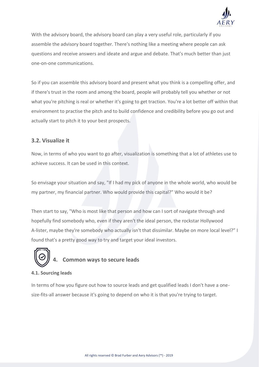

With the advisory board, the advisory board can play a very useful role, particularly if you assemble the advisory board together. There's nothing like a meeting where people can ask questions and receive answers and ideate and argue and debate. That's much better than just one-on-one communications.

So if you can assemble this advisory board and present what you think is a compelling offer, and if there's trust in the room and among the board, people will probably tell you whether or not what you're pitching is real or whether it's going to get traction. You're a lot better off within that environment to practise the pitch and to build confidence and credibility before you go out and actually start to pitch it to your best prospects.

### **3.2. Visualize it**

Now, in terms of who you want to go after, visualization is something that a lot of athletes use to achieve success. It can be used in this context.

So envisage your situation and say, "If I had my pick of anyone in the whole world, who would be my partner, my financial partner. Who would provide this capital?" Who would it be?

Then start to say, "Who is most like that person and how can I sort of navigate through and hopefully find somebody who, even if they aren't the ideal person, the rockstar Hollywood A-lister, maybe they're somebody who actually isn't that dissimilar. Maybe on more local level?" I found that's a pretty good way to try and target your ideal investors.



### **4.1. Sourcing leads**

In terms of how you figure out how to source leads and get qualified leads I don't have a onesize-fits-all answer because it's going to depend on who it is that you're trying to target.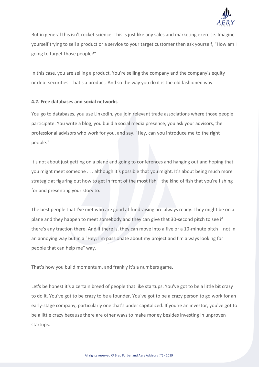

But in general this isn't rocket science. This is just like any sales and marketing exercise. Imagine yourself trying to sell a product or a service to your target customer then ask yourself, "How am I going to target those people?"

In this case, you are selling a product. You're selling the company and the company's equity or debt securities. That's a product. And so the way you do it is the old fashioned way.

### **4.2. Free databases and social networks**

You go to databases, you use LinkedIn, you join relevant trade associations where those people participate. You write a blog, you build a social media presence, you ask your advisors, the professional advisors who work for you, and say, "Hey, can you introduce me to the right people."

It's not about just getting on a plane and going to conferences and hanging out and hoping that you might meet someone . . . although it's possible that you might. It's about being much more strategic at figuring out how to get in front of the most fish – the kind of fish that you're fishing for and presenting your story to.

The best people that I've met who are good at fundraising are always ready. They might be on a plane and they happen to meet somebody and they can give that 30-second pitch to see if there's any traction there. And if there is, they can move into a five or a 10-minute pitch – not in an annoying way but in a "Hey, I'm passionate about my project and I'm always looking for people that can help me" way.

That's how you build momentum, and frankly it's a numbers game.

Let's be honest it's a certain breed of people that like startups. You've got to be a little bit crazy to do it. You've got to be crazy to be a founder. You've got to be a crazy person to go work for an early-stage company, particularly one that's under capitalized. If you're an investor, you've got to be a little crazy because there are other ways to make money besides investing in unproven startups.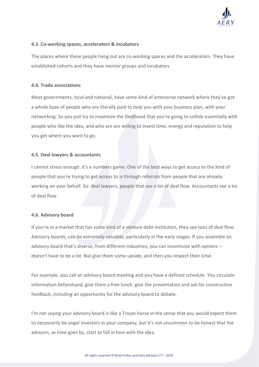

### **4.3. Co-working spaces, accelerators & incubators**

The places where these people hang out are co-working spaces and the accelerators. They have established cohorts and they have mentor groups and incubators.

### **4.4. Trade associations**

Most governments, local and national, have some kind of enterprise network where they've got a whole base of people who are literally paid to help you with your business plan, with your networking. So you just try to maximize the likelihood that you're going to collide essentially with people who like the idea, and who are are willing to invest time, energy and reputation to help you get where you want to go.

### **4.5. Deal lawyers & accountants**

I cannot stress enough: it's a numbers game. One of the best ways to get access to the kind of people that you're trying to get access to is through referrals from people that are already working on your behalf. So: deal lawyers, people that see a lot of deal flow. Accountants see a lot of deal flow.

### **4.6. Advisory board**

If you're in a market that has some kind of a venture debt institution, they see tons of deal flow. Advisory boards, can be extremely valuable, particularly in the early stages. If you assemble an advisory board that's diverse, from different industries, you can incentivize with options – doesn't have to be a lot. But give them some upside, and then you respect their time.

For example, you call an advisory board meeting and you have a defined schedule. You circulate information beforehand, give them a free lunch, give the presentation and ask for constructive feedback, including an opportunity for the advisory board to debate.

I'm not saying your advisory board is like a Trojan horse in the sense that you would expect them to necessarily be angel investors in your company, but it's not uncommon to be honest that the advisors, as time goes by, start to fall in love with the idea.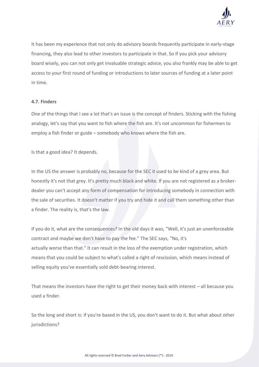

It has been my experience that not only do advisory boards frequently participate in early-stage financing, they also lead to other investors to participate in that. So if you pick your advisory board wisely, you can not only get invaluable strategic advice, you also frankly may be able to get access to your first round of funding or introductions to later sources of funding at a later point in time.

#### **4.7. Finders**

One of the things that I see a lot that's an issue is the concept of finders. Sticking with the fishing analogy, let's say that you want to fish where the fish are. It's not uncommon for fishermen to employ a fish finder or guide – somebody who knows where the fish are.

Is that a good idea? It depends.

In the US the answer is probably no, because for the SEC it used to be kind of a grey area. But honestly it's not that grey. It's pretty much black and white. If you are not registered as a brokerdealer you can't accept any form of compensation for introducing somebody in connection with the sale of securities. It doesn't matter if you try and hide it and call them something other than a finder. The reality is, that's the law.

If you do it, what are the consequences? In the old days it was, "Well, it's just an unenforceable contract and maybe we don't have to pay the fee." The SEC says, "No, it's actually worse than that." It can result in the loss of the exemption under registration, which means that you could be subject to what's called a right of rescission, which means instead of selling equity you've essentially sold debt-bearing interest.

That means the investors have the right to get their money back with interest – all because you used a finder.

So the long and short is: if you're based in the US, you don't want to do it. But what about other jurisdictions?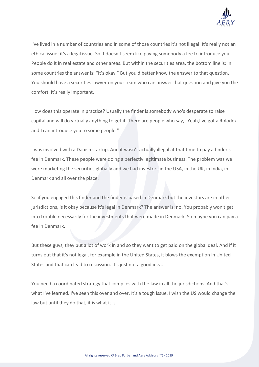

I've lived in a number of countries and in some of those countries it's not illegal. It's really not an ethical issue; it's a legal issue. So it doesn't seem like paying somebody a fee to introduce you. People do it in real estate and other areas. But within the securities area, the bottom line is: in some countries the answer is: "It's okay." But you'd better know the answer to that question. You should have a securities lawyer on your team who can answer that question and give you the comfort. It's really important.

How does this operate in practice? Usually the finder is somebody who's desperate to raise capital and will do virtually anything to get it. There are people who say, "Yeah,I've got a Rolodex and I can introduce you to some people."

I was involved with a Danish startup. And it wasn't actually illegal at that time to pay a finder's fee in Denmark. These people were doing a perfectly legitimate business. The problem was we were marketing the securities globally and we had investors in the USA, in the UK, in India, in Denmark and all over the place.

So if you engaged this finder and the finder is based in Denmark but the investors are in other jurisdictions, is it okay because it's legal in Denmark? The answer is: no. You probably won't get into trouble necessarily for the investments that were made in Denmark. So maybe you can pay a fee in Denmark.

But these guys, they put a lot of work in and so they want to get paid on the global deal. And if it turns out that it's not legal, for example in the United States, it blows the exemption in United States and that can lead to rescission. It's just not a good idea.

You need a coordinated strategy that complies with the law in all the jurisdictions. And that's what I've learned. I've seen this over and over. It's a tough issue. I wish the US would change the law but until they do that, it is what it is.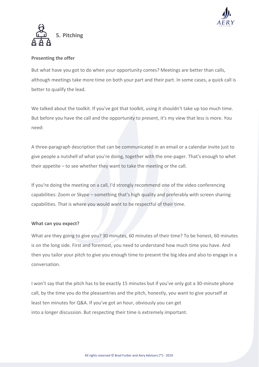



### **Presenting the offer**

But what have you got to do when your opportunity comes? Meetings are better than calls, although meetings take more time on both your part and their part. In some cases, a quick call is better to qualify the lead.

We talked about the toolkit. If you've got that toolkit, using it shouldn't take up too much time. But before you have the call and the opportunity to present, it's my view that less is more. You need:

A three-paragraph description that can be communicated in an email or a calendar invite just to give people a nutshell of what you're doing, together with the one-pager. That's enough to whet their appetite – to see whether they want to take the meeting or the call.

If you're doing the meeting on a call, I'd strongly recommend one of the video conferencing capabilities: Zoom or Skype – something that's high quality and preferably with screen sharing capabilities. That is where you would want to be respectful of their time.

### **What can you expect?**

What are they going to give you? 30 minutes, 60 minutes of their time? To be honest, 60 minutes is on the long side. First and foremost, you need to understand how much time you have. And then you tailor your pitch to give you enough time to present the big idea and also to engage in a conversation.

I won't say that the pitch has to be exactly 15 minutes but if you've only got a 30-minute phone call, by the time you do the pleasantries and the pitch, honestly, you want to give yourself at least ten minutes for Q&A. If you've got an hour, obviously you can get into a longer discussion. But respecting their time is extremely important.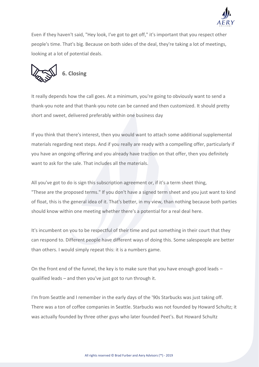

Even if they haven't said, "Hey look, I've got to get off," it's important that you respect other people's time. That's big. Because on both sides of the deal, they're taking a lot of meetings, looking at a lot of potential deals.



It really depends how the call goes. At a minimum, you're going to obviously want to send a thank-you note and that thank-you note can be canned and then customized. It should pretty short and sweet, delivered preferably within one business day

If you think that there's interest, then you would want to attach some additional supplemental materials regarding next steps. And if you really are ready with a compelling offer, particularly if you have an ongoing offering and you already have traction on that offer, then you definitely want to ask for the sale. That includes all the materials.

All you've got to do is sign this subscription agreement or, if it's a term sheet thing, "These are the proposed terms." If you don't have a signed term sheet and you just want to kind of float, this is the general idea of it. That's better, in my view, than nothing because both parties should know within one meeting whether there's a potential for a real deal here.

It's incumbent on you to be respectful of their time and put something in their court that they can respond to. Different people have different ways of doing this. Some salespeople are better than others. I would simply repeat this: it is a numbers game.

On the front end of the funnel, the key is to make sure that you have enough good leads – qualified leads – and then you've just got to run through it.

I'm from Seattle and I remember in the early days of the '90s Starbucks was just taking off. There was a ton of coffee companies in Seattle. Starbucks was not founded by Howard Schultz; it was actually founded by three other guys who later founded Peet's. But Howard Schultz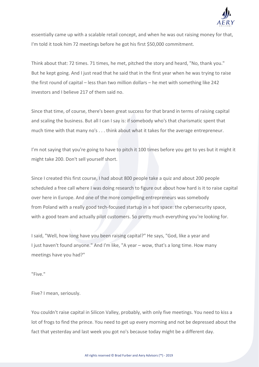

essentially came up with a scalable retail concept, and when he was out raising money for that, I'm told it took him 72 meetings before he got his first \$50,000 commitment.

Think about that: 72 times. 71 times, he met, pitched the story and heard, "No, thank you." But he kept going. And I just read that he said that in the first year when he was trying to raise the first round of capital – less than two million dollars – he met with something like 242 investors and I believe 217 of them said no.

Since that time, of course, there's been great success for that brand in terms of raising capital and scaling the business. But all I can I say is: if somebody who's that charismatic spent that much time with that many no's . . . think about what it takes for the average entrepreneur.

I'm not saying that you're going to have to pitch it 100 times before you get to yes but it might it might take 200. Don't sell yourself short.

Since I created this first course, I had about 800 people take a quiz and about 200 people scheduled a free call where I was doing research to figure out about how hard is it to raise capital over here in Europe. And one of the more compelling entrepreneurs was somebody from Poland with a really good tech-focused startup in a hot space: the cybersecurity space, with a good team and actually pilot customers. So pretty much everything you're looking for.

I said, "Well, how long have you been raising capital?" He says, "God, like a year and I just haven't found anyone." And I'm like, "A year – wow, that's a long time. How many meetings have you had?"

"Five."

Five? I mean, seriously.

You couldn't raise capital in Silicon Valley, probably, with only five meetings. You need to kiss a lot of frogs to find the prince. You need to get up every morning and not be depressed about the fact that yesterday and last week you got no's because today might be a different day.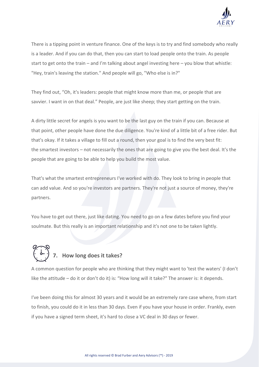

There is a tipping point in venture finance. One of the keys is to try and find somebody who really is a leader. And if you can do that, then you can start to load people onto the train. As people start to get onto the train – and I'm talking about angel investing here – you blow that whistle: "Hey, train's leaving the station." And people will go, "Who else is in?"

They find out, "Oh, it's leaders: people that might know more than me, or people that are savvier. I want in on that deal." People, are just like sheep; they start getting on the train.

A dirty little secret for angels is you want to be the last guy on the train if you can. Because at that point, other people have done the due diligence. You're kind of a little bit of a free rider. But that's okay. If it takes a village to fill out a round, then your goal is to find the very best fit: the smartest investors – not necessarily the ones that are going to give you the best deal. It's the people that are going to be able to help you build the most value.

That's what the smartest entrepreneurs I've worked with do. They look to bring in people that can add value. And so you're investors are partners. They're not just a source of money, they're partners.

You have to get out there, just like dating. You need to go on a few dates before you find your soulmate. But this really is an important relationship and it's not one to be taken lightly.

# **7. How long does it takes?**

A common question for people who are thinking that they might want to 'test the waters' (I don't like the attitude – do it or don't do it) is: "How long will it take?" The answer is: it depends.

I've been doing this for almost 30 years and it would be an extremely rare case where, from start to finish, you could do it in less than 30 days. Even if you have your house in order. Frankly, even if you have a signed term sheet, it's hard to close a VC deal in 30 days or fewer.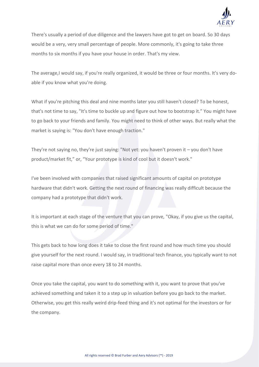

There's usually a period of due diligence and the lawyers have got to get on board. So 30 days would be a very, very small percentage of people. More commonly, it's going to take three months to six months if you have your house in order. That's my view.

The average,I would say, if you're really organized, it would be three or four months. It's very doable if you know what you're doing.

What if you're pitching this deal and nine months later you still haven't closed? To be honest, that's not time to say, "It's time to buckle up and figure out how to bootstrap it." You might have to go back to your friends and family. You might need to think of other ways. But really what the market is saying is: "You don't have enough traction."

They're not saying no, they're just saying: "Not yet: you haven't proven it – you don't have product/market fit," or, "Your prototype is kind of cool but it doesn't work."

I've been involved with companies that raised significant amounts of capital on prototype hardware that didn't work. Getting the next round of financing was really difficult because the company had a prototype that didn't work.

It is important at each stage of the venture that you can prove, "Okay, if you give us the capital, this is what we can do for some period of time."

This gets back to how long does it take to close the first round and how much time you should give yourself for the next round. I would say, in traditional tech finance, you typically want to not raise capital more than once every 18 to 24 months.

Once you take the capital, you want to do something with it, you want to prove that you've achieved something and taken it to a step up in valuation before you go back to the market. Otherwise, you get this really weird drip-feed thing and it's not optimal for the investors or for the company.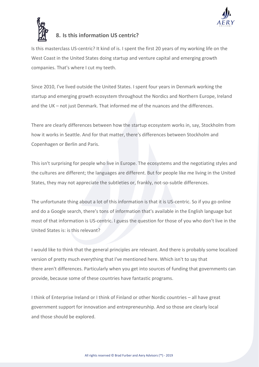



### **8. Is this information US centric?**

Is this masterclass US-centric? It kind of is. I spent the first 20 years of my working life on the West Coast in the United States doing startup and venture capital and emerging growth companies. That's where I cut my teeth.

Since 2010, I've lived outside the United States. I spent four years in Denmark working the startup and emerging growth ecosystem throughout the Nordics and Northern Europe, Ireland and the UK – not just Denmark. That informed me of the nuances and the differences.

There are clearly differences between how the startup ecosystem works in, say, Stockholm from how it works in Seattle. And for that matter, there's differences between Stockholm and Copenhagen or Berlin and Paris.

This isn't surprising for people who live in Europe. The ecosystems and the negotiating styles and the cultures are different; the languages are different. But for people like me living in the United States, they may not appreciate the subtleties or, frankly, not-so-subtle differences.

The unfortunate thing about a lot of this information is that it is US-centric. So if you go online and do a Google search, there's tons of information that's available in the English language but most of that information is US-centric. I guess the question for those of you who don't live in the United States is: is this relevant?

I would like to think that the general principles are relevant. And there is probably some localized version of pretty much everything that I've mentioned here. Which isn't to say that there aren't differences. Particularly when you get into sources of funding that governments can provide, because some of these countries have fantastic programs.

I think of Enterprise Ireland or I think of Finland or other Nordic countries – all have great government support for innovation and entrepreneurship. And so those are clearly local and those should be explored.